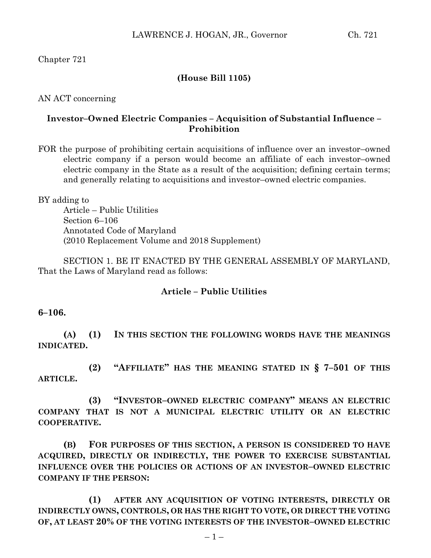Chapter 721

## **(House Bill 1105)**

AN ACT concerning

## **Investor–Owned Electric Companies – Acquisition of Substantial Influence – Prohibition**

FOR the purpose of prohibiting certain acquisitions of influence over an investor–owned electric company if a person would become an affiliate of each investor–owned electric company in the State as a result of the acquisition; defining certain terms; and generally relating to acquisitions and investor–owned electric companies.

BY adding to Article – Public Utilities Section 6–106 Annotated Code of Maryland (2010 Replacement Volume and 2018 Supplement)

SECTION 1. BE IT ENACTED BY THE GENERAL ASSEMBLY OF MARYLAND, That the Laws of Maryland read as follows:

## **Article – Public Utilities**

**6–106.**

**(A) (1) IN THIS SECTION THE FOLLOWING WORDS HAVE THE MEANINGS INDICATED.**

**(2) "AFFILIATE" HAS THE MEANING STATED IN § 7–501 OF THIS ARTICLE.**

**(3) "INVESTOR–OWNED ELECTRIC COMPANY" MEANS AN ELECTRIC COMPANY THAT IS NOT A MUNICIPAL ELECTRIC UTILITY OR AN ELECTRIC COOPERATIVE.**

**(B) FOR PURPOSES OF THIS SECTION, A PERSON IS CONSIDERED TO HAVE ACQUIRED, DIRECTLY OR INDIRECTLY, THE POWER TO EXERCISE SUBSTANTIAL INFLUENCE OVER THE POLICIES OR ACTIONS OF AN INVESTOR–OWNED ELECTRIC COMPANY IF THE PERSON:**

**(1) AFTER ANY ACQUISITION OF VOTING INTERESTS, DIRECTLY OR INDIRECTLY OWNS, CONTROLS, OR HAS THE RIGHT TO VOTE, OR DIRECT THE VOTING OF, AT LEAST 20% OF THE VOTING INTERESTS OF THE INVESTOR–OWNED ELECTRIC**